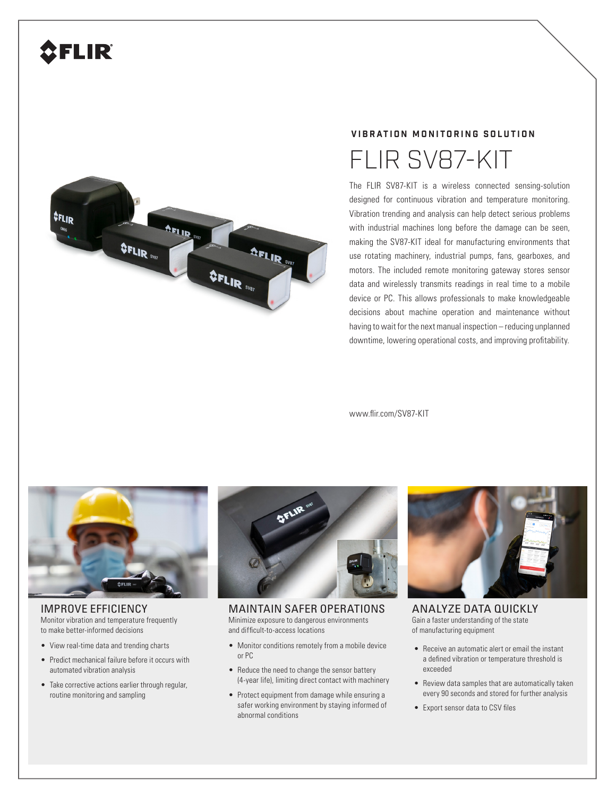## FLIR



### **VIBRATION MONITORING SOLUTION**

# FLIR SV87-KIT

The FLIR SV87-KIT is a wireless connected sensing-solution designed for continuous vibration and temperature monitoring. Vibration trending and analysis can help detect serious problems with industrial machines long before the damage can be seen, making the SV87-KIT ideal for manufacturing environments that use rotating machinery, industrial pumps, fans, gearboxes, and motors. The included remote monitoring gateway stores sensor data and wirelessly transmits readings in real time to a mobile device or PC. This allows professionals to make knowledgeable decisions about machine operation and maintenance without having to wait for the next manual inspection – reducing unplanned downtime, lowering operational costs, and improving profitability.

www.flir.com/SV87-KIT



IMPROVE EFFICIENCY Monitor vibration and temperature frequently to make better-informed decisions

- View real-time data and trending charts
- Predict mechanical failure before it occurs with automated vibration analysis
- Take corrective actions earlier through regular, routine monitoring and sampling



MAINTAIN SAFER OPERATIONS Minimize exposure to dangerous environments and difficult-to-access locations

- Monitor conditions remotely from a mobile device or PC
- Reduce the need to change the sensor battery (4-year life), limiting direct contact with machinery
- Protect equipment from damage while ensuring a safer working environment by staying informed of abnormal conditions



ANALYZE DATA QUICKLY Gain a faster understanding of the state of manufacturing equipment

- Receive an automatic alert or email the instant a defined vibration or temperature threshold is exceeded
- Review data samples that are automatically taken every 90 seconds and stored for further analysis
- Export sensor data to CSV files